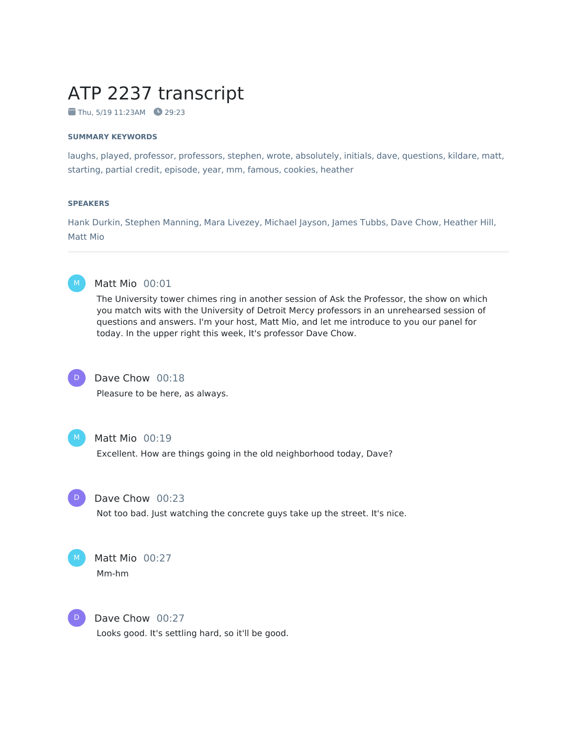# ATP 2237 transcript

 $\blacksquare$  Thu, 5/19 11:23AM  $\blacksquare$  29:23

#### **SUMMARY KEYWORDS**

laughs, played, professor, professors, stephen, wrote, absolutely, initials, dave, questions, kildare, matt, starting, partial credit, episode, year, mm, famous, cookies, heather

#### **SPEAKERS**

Hank Durkin, Stephen Manning, Mara Livezey, Michael Jayson, James Tubbs, Dave Chow, Heather Hill, Matt Mio



#### Matt Mio 00:01

The University tower chimes ring in another session of Ask the Professor, the show on which you match wits with the University of Detroit Mercy professors in an unrehearsed session of questions and answers. I'm your host, Matt Mio, and let me introduce to you our panel for today. In the upper right this week, It's professor Dave Chow.



#### Dave Chow 00:18

Pleasure to be here, as always.



#### Matt Mio 00:19

Excellent. How are things going in the old neighborhood today, Dave?



#### Dave Chow 00:23

Not too bad. Just watching the concrete guys take up the street. It's nice.



# Matt Mio 00:27

Mm-hm



#### Dave Chow 00:27

Looks good. It's settling hard, so it'll be good.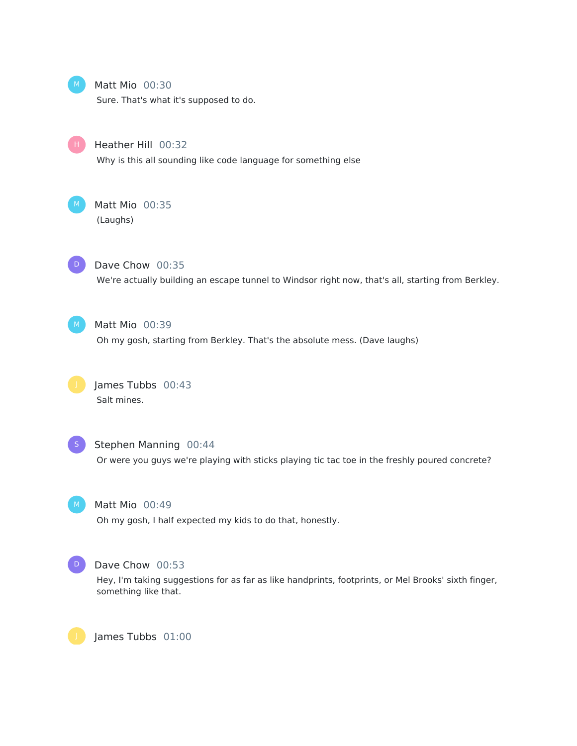

Matt Mio 00:30

Sure. That's what it's supposed to do.

H

Heather Hill 00:32

Why is this all sounding like code language for something else



Matt Mio 00:35 (Laughs)



Dave Chow 00:35

We're actually building an escape tunnel to Windsor right now, that's all, starting from Berkley.



Matt Mio 00:39

Oh my gosh, starting from Berkley. That's the absolute mess. (Dave laughs)





#### Stephen Manning 00:44

Or were you guys we're playing with sticks playing tic tac toe in the freshly poured concrete?



#### Matt Mio 00:49

Oh my gosh, I half expected my kids to do that, honestly.



#### Dave Chow 00:53

Hey, I'm taking suggestions for as far as like handprints, footprints, or Mel Brooks' sixth finger, something like that.

James Tubbs 01:00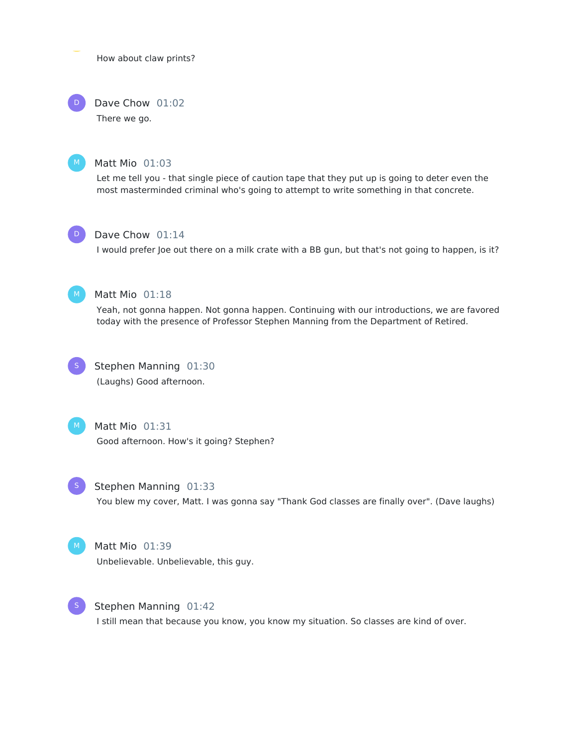How about claw prints?

#### Dave Chow 01:02  $\mathsf{D}^-$

There we go.



#### Matt Mio 01:03

Let me tell you - that single piece of caution tape that they put up is going to deter even the most masterminded criminal who's going to attempt to write something in that concrete.



#### Dave Chow 01:14

I would prefer Joe out there on a milk crate with a BB gun, but that's not going to happen, is it?



#### Matt Mio 01:18

Yeah, not gonna happen. Not gonna happen. Continuing with our introductions, we are favored today with the presence of Professor Stephen Manning from the Department of Retired.



# Stephen Manning 01:30 (Laughs) Good afternoon.



Matt Mio 01:31 Good afternoon. How's it going? Stephen?



#### Stephen Manning 01:33

You blew my cover, Matt. I was gonna say "Thank God classes are finally over". (Dave laughs)



#### Matt Mio 01:39

Unbelievable. Unbelievable, this guy.



#### Stephen Manning 01:42

I still mean that because you know, you know my situation. So classes are kind of over.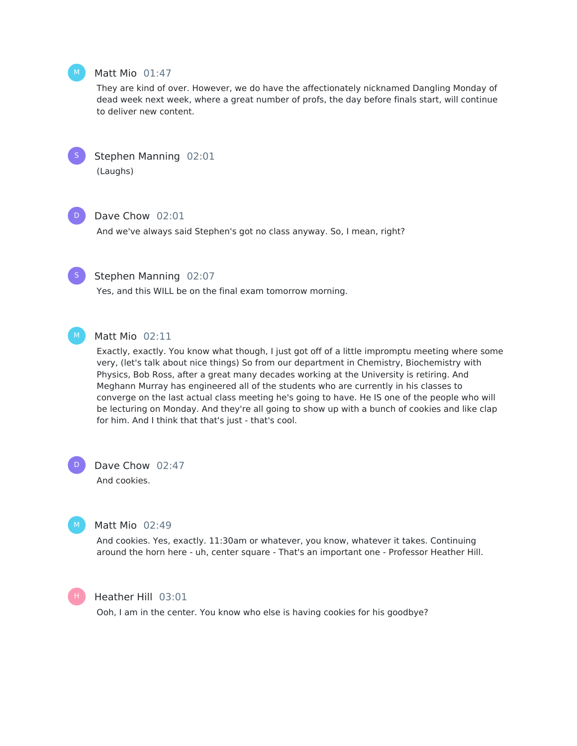

#### Matt Mio 01:47

They are kind of over. However, we do have the affectionately nicknamed Dangling Monday of dead week next week, where a great number of profs, the day before finals start, will continue to deliver new content.



Stephen Manning 02:01 (Laughs)



#### Dave Chow 02:01

And we've always said Stephen's got no class anyway. So, I mean, right?



# Stephen Manning 02:07

Yes, and this WILL be on the final exam tomorrow morning.

M

# Matt Mio 02:11

Exactly, exactly. You know what though, I just got off of a little impromptu meeting where some very, (let's talk about nice things) So from our department in Chemistry, Biochemistry with Physics, Bob Ross, after a great many decades working at the University is retiring. And Meghann Murray has engineered all of the students who are currently in his classes to converge on the last actual class meeting he's going to have. He IS one of the people who will be lecturing on Monday. And they're all going to show up with a bunch of cookies and like clap for him. And I think that that's just - that's cool.

Dave Chow 02:47 And cookies.  $\mathsf{D}^-$ 



# Matt Mio 02:49

And cookies. Yes, exactly. 11:30am or whatever, you know, whatever it takes. Continuing around the horn here - uh, center square - That's an important one - Professor Heather Hill.



#### Heather Hill 03:01

Ooh, I am in the center. You know who else is having cookies for his goodbye?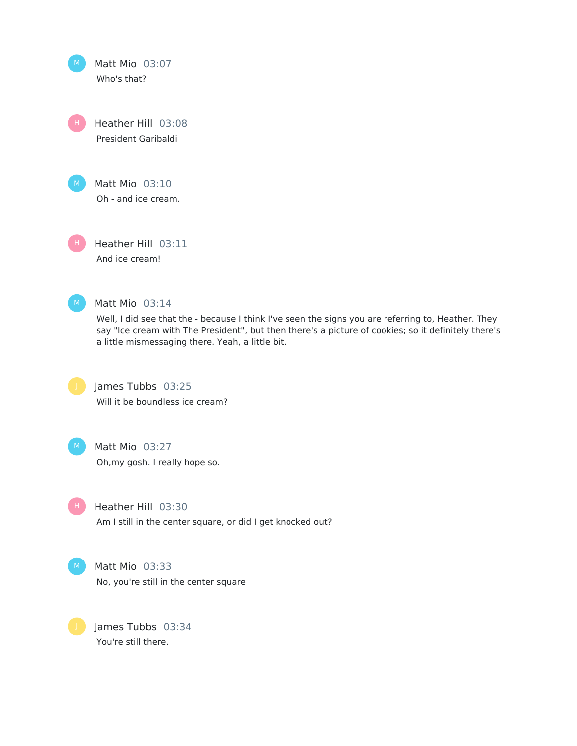Matt Mio 03:07 Who's that? Heather Hill 03:08 H

President Garibaldi



Matt Mio 03:10 Oh - and ice cream.

Heather Hill 03:11 And ice cream!



#### Matt Mio 03:14

Well, I did see that the - because I think I've seen the signs you are referring to, Heather. They say "Ice cream with The President", but then there's a picture of cookies; so it definitely there's a little mismessaging there. Yeah, a little bit.



H

James Tubbs 03:25 Will it be boundless ice cream?



Heather Hill 03:30

Am I still in the center square, or did I get knocked out?

Matt Mio 03:33 No, you're still in the center square

James Tubbs 03:34 You're still there.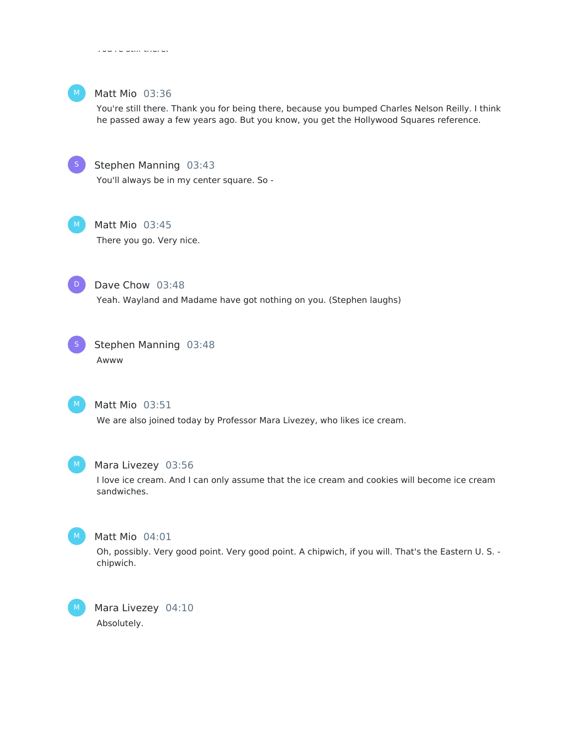

#### Matt Mio 03:36

You're still there. Thank you for being there, because you bumped Charles Nelson Reilly. I think he passed away a few years ago. But you know, you get the Hollywood Squares reference.



#### Stephen Manning 03:43

You'll always be in my center square. So -



Matt Mio 03:45 There you go. Very nice.



Dave Chow 03:48

Yeah. Wayland and Madame have got nothing on you. (Stephen laughs)



Stephen Manning 03:48 Awww



#### Matt Mio 03:51

We are also joined today by Professor Mara Livezey, who likes ice cream.



#### Mara Livezey 03:56

I love ice cream. And I can only assume that the ice cream and cookies will become ice cream sandwiches.



#### Matt Mio 04:01

Oh, possibly. Very good point. Very good point. A chipwich, if you will. That's the Eastern U. S. chipwich.

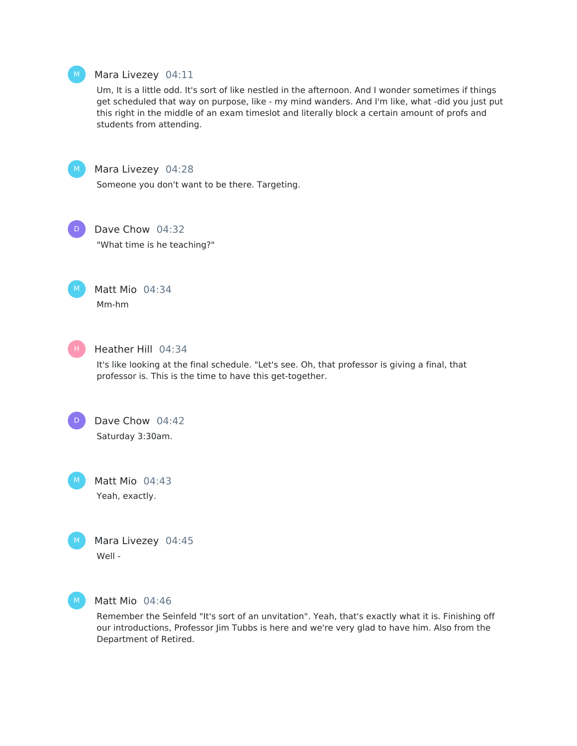

#### Mara Livezey 04:11

Um, It is a little odd. It's sort of like nestled in the afternoon. And I wonder sometimes if things get scheduled that way on purpose, like - my mind wanders. And I'm like, what -did you just put this right in the middle of an exam timeslot and literally block a certain amount of profs and students from attending.



#### Mara Livezey 04:28

Someone you don't want to be there. Targeting.



# Dave Chow 04:32

"What time is he teaching?"



# Matt Mio 04:34 Mm-hm



# Heather Hill 04:34

It's like looking at the final schedule. "Let's see. Oh, that professor is giving a final, that professor is. This is the time to have this get-together.



# Dave Chow 04:42 Saturday 3:30am.

Matt Mio 04:43 Yeah, exactly. M

| M | Mara Live |
|---|-----------|
|   | Well -    |

ezey 04:45



#### Matt Mio 04:46

Remember the Seinfeld "It's sort of an unvitation". Yeah, that's exactly what it is. Finishing off our introductions, Professor Jim Tubbs is here and we're very glad to have him. Also from the Department of Retired.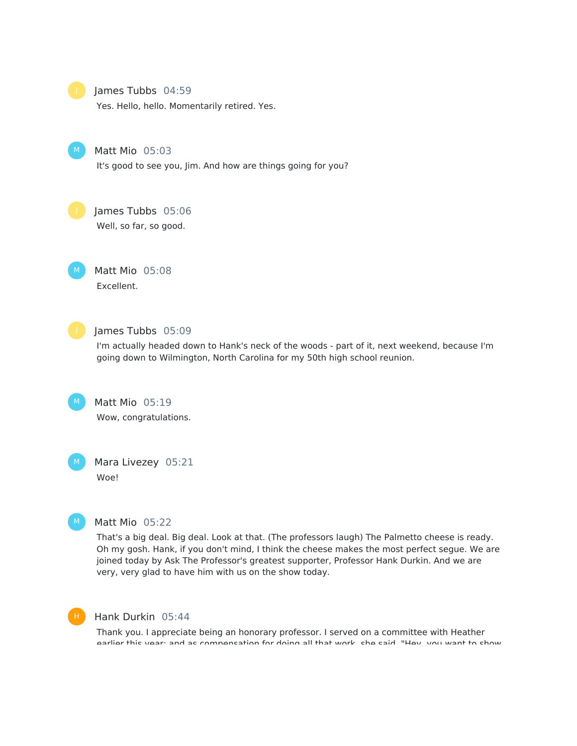

# James Tubbs 04:59

Yes. Hello, hello. Momentarily retired. Yes.



Matt Mio 05:03

It's good to see you, Jim. And how are things going for you?

# James Tubbs 05:06

Well, so far, so good.

Matt Mio 05:08 Excellent. M



#### James Tubbs 05:09

I'm actually headed down to Hank's neck of the woods - part of it, next weekend, because I'm going down to Wilmington, North Carolina for my 50th high school reunion.

Matt Mio 05:19 Wow, congratulations.

Mara Livezey 05:21 Woe!



 $M_{\odot}$ 

#### Matt Mio 05:22

That's a big deal. Big deal. Look at that. (The professors laugh) The Palmetto cheese is ready. Oh my gosh. Hank, if you don't mind, I think the cheese makes the most perfect segue. We are joined today by Ask The Professor's greatest supporter, Professor Hank Durkin. And we are very, very glad to have him with us on the show today.



#### Hank Durkin 05:44

Thank you. I appreciate being an honorary professor. I served on a committee with Heather earlier this year; and as compensation for doing all that work, she said, "Hey, you want to show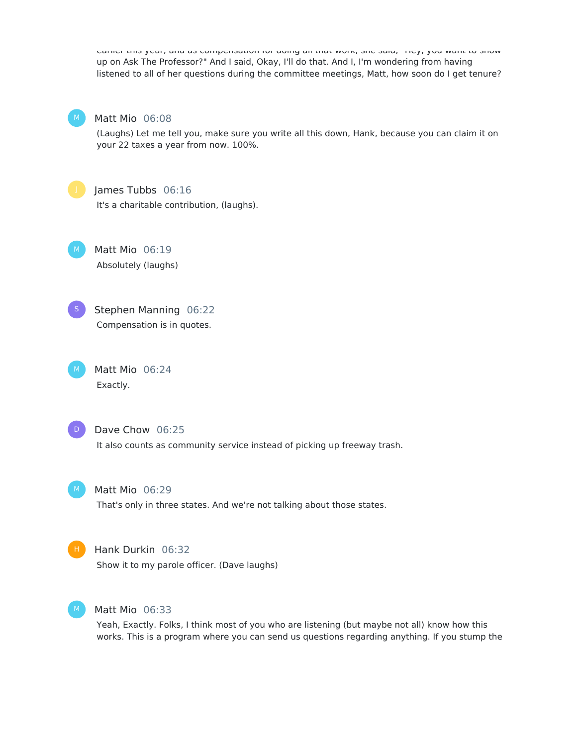earlier this year; and as compensation for doing all that work, she said, "Hey, you want to show up on Ask The Professor?" And I said, Okay, I'll do that. And I, I'm wondering from having listened to all of her questions during the committee meetings, Matt, how soon do I get tenure?



#### Matt Mio 06:08

(Laughs) Let me tell you, make sure you write all this down, Hank, because you can claim it on your 22 taxes a year from now. 100%.



#### James Tubbs 06:16

It's a charitable contribution, (laughs).

Matt Mio 06:19 Absolutely (laughs)



M

Stephen Manning 06:22 Compensation is in quotes.

Matt Mio 06:24 Exactly.  $M_{\odot}$ 



#### Dave Chow 06:25

It also counts as community service instead of picking up freeway trash.



# Matt Mio 06:29

That's only in three states. And we're not talking about those states.



#### Hank Durkin 06:32

Show it to my parole officer. (Dave laughs)



#### Matt Mio 06:33

Yeah, Exactly. Folks, I think most of you who are listening (but maybe not all) know how this works. This is a program where you can send us questions regarding anything. If you stump the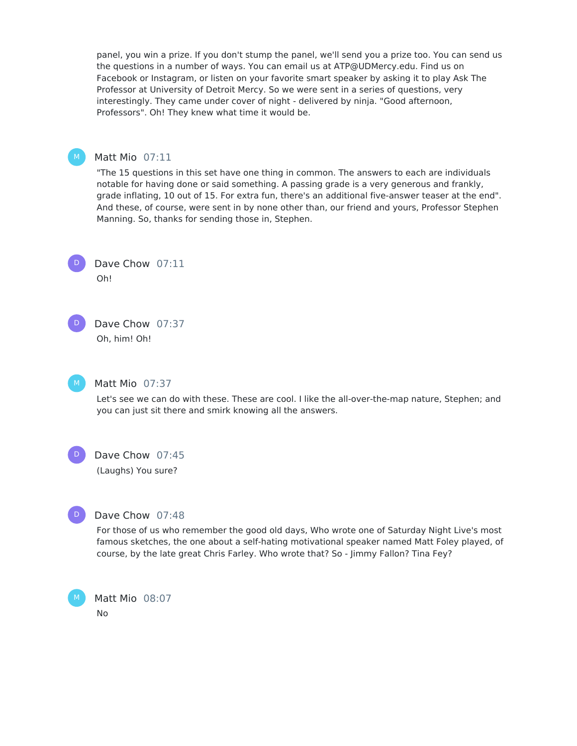panel, you win a prize. If you don't stump the panel, we'll send you a prize too. You can send us the questions in a number of ways. You can email us at ATP@UDMercy.edu. Find us on Facebook or Instagram, or listen on your favorite smart speaker by asking it to play Ask The Professor at University of Detroit Mercy. So we were sent in a series of questions, very interestingly. They came under cover of night - delivered by ninja. "Good afternoon, Professors". Oh! They knew what time it would be.



#### Matt Mio 07:11

"The 15 questions in this set have one thing in common. The answers to each are individuals notable for having done or said something. A passing grade is a very generous and frankly, grade inflating, 10 out of 15. For extra fun, there's an additional five-answer teaser at the end". And these, of course, were sent in by none other than, our friend and yours, Professor Stephen Manning. So, thanks for sending those in, Stephen.



Dave Chow 07:11 Oh!

Dave Chow 07:37 Oh, him! Oh!  $\mathsf{D}^-$ 



#### Matt Mio 07:37

Let's see we can do with these. These are cool. I like the all-over-the-map nature, Stephen; and you can just sit there and smirk knowing all the answers.

D

#### Dave Chow 07:45

(Laughs) You sure?



#### Dave Chow 07:48

For those of us who remember the good old days, Who wrote one of Saturday Night Live's most famous sketches, the one about a self-hating motivational speaker named Matt Foley played, of course, by the late great Chris Farley. Who wrote that? So - Jimmy Fallon? Tina Fey?

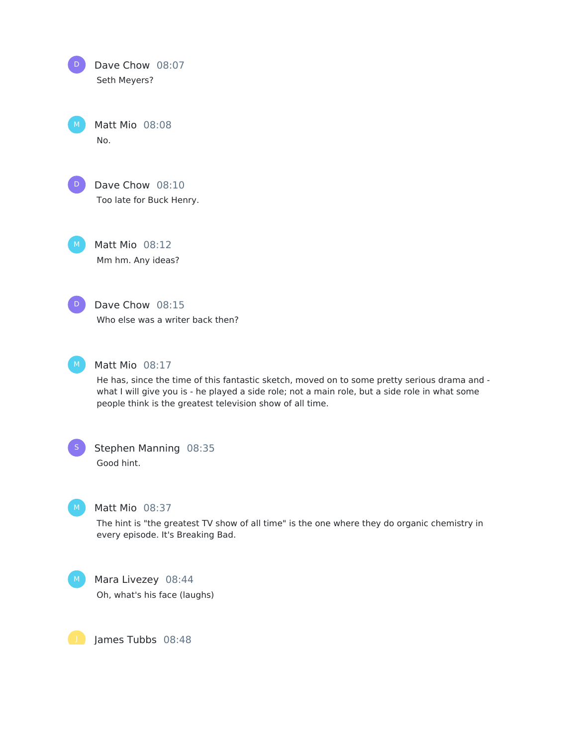| D | Dave Chow 08:07<br>Seth Meyers?               |
|---|-----------------------------------------------|
| M | Matt Mio 08:08<br>N٥.                         |
| D | Dave Chow $08:10$<br>Too late for Buck Henry. |

Matt Mio 08:12 Mm hm. Any ideas?

Dave Chow 08:15



 $M$ )

Who else was a writer back then?



# Matt Mio 08:17

He has, since the time of this fantastic sketch, moved on to some pretty serious drama and what I will give you is - he played a side role; not a main role, but a side role in what some people think is the greatest television show of all time.

# Stephen Manning 08:35

Good hint.



#### Matt Mio 08:37

The hint is "the greatest TV show of all time" is the one where they do organic chemistry in every episode. It's Breaking Bad.



#### Mara Livezey 08:44

Oh, what's his face (laughs)

James Tubbs 08:48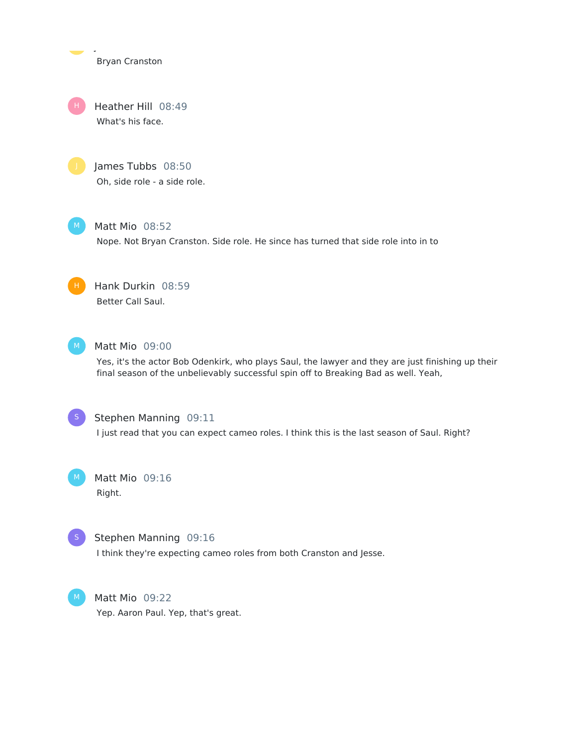Bryan Cranston

James Tubbs 08:48

Heather Hill 08:49 What's his face. H





Matt Mio 08:52

Nope. Not Bryan Cranston. Side role. He since has turned that side role into in to

Hank Durkin 08:59 Better Call Saul.



#### Matt Mio 09:00

Yes, it's the actor Bob Odenkirk, who plays Saul, the lawyer and they are just finishing up their final season of the unbelievably successful spin off to Breaking Bad as well. Yeah,



#### Stephen Manning 09:11

I just read that you can expect cameo roles. I think this is the last season of Saul. Right?

Matt Mio 09:16 Right.  $M_{\odot}$ 



#### Stephen Manning 09:16

I think they're expecting cameo roles from both Cranston and Jesse.



Matt Mio 09:22 Yep. Aaron Paul. Yep, that's great.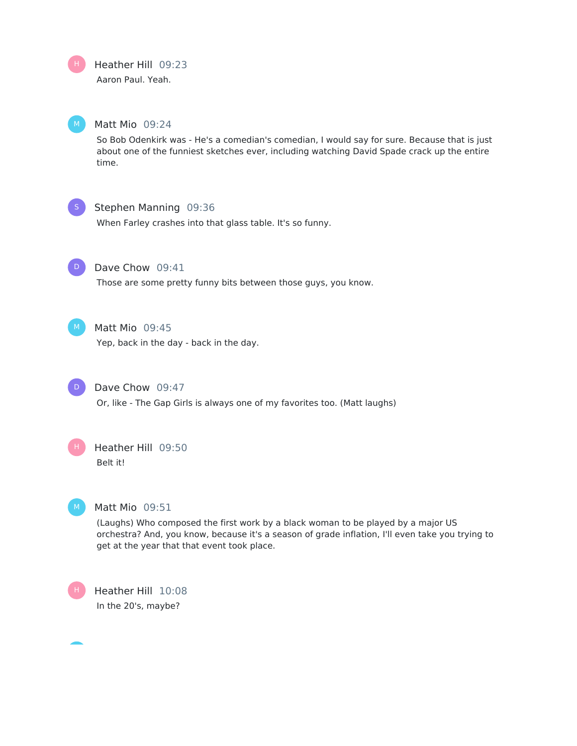# Heather Hill 09:23

Aaron Paul. Yeah.

H

#### Matt Mio 09:24

So Bob Odenkirk was - He's a comedian's comedian, I would say for sure. Because that is just about one of the funniest sketches ever, including watching David Spade crack up the entire time.



#### Stephen Manning 09:36

When Farley crashes into that glass table. It's so funny.



#### Dave Chow 09:41

Those are some pretty funny bits between those guys, you know.



#### $M$  Matt Mio 09:45

Yep, back in the day - back in the day.



# Dave Chow 09:47

Or, like - The Gap Girls is always one of my favorites too. (Matt laughs)



# Heather Hill 09:50 Belt it!

# Matt Mio 09:51

(Laughs) Who composed the first work by a black woman to be played by a major US orchestra? And, you know, because it's a season of grade inflation, I'll even take you trying to get at the year that that event took place.



Heather Hill 10:08 In the 20's, maybe?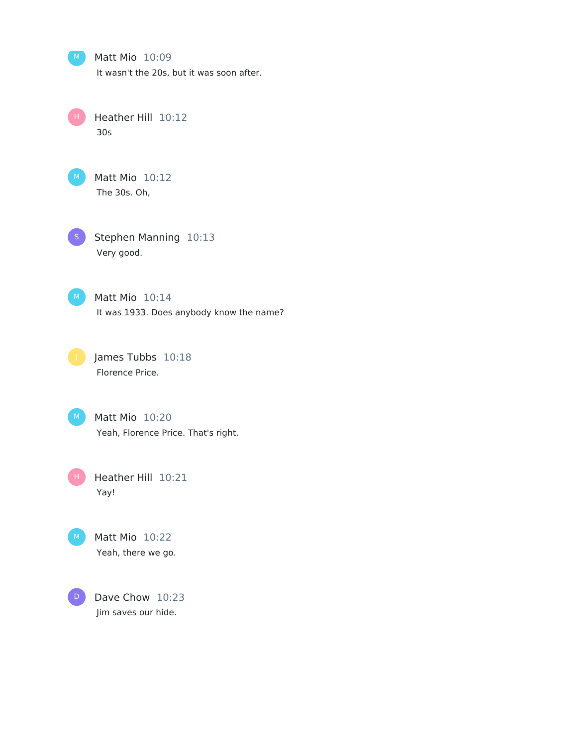Matt Mio 10:09

It wasn't the 20s, but it was soon after.

Heather Hill 10:12 30s H



Matt Mio 10:12 The 30s. Oh,

Stephen Manning 10:13 Very good.

Matt Mio 10:14 It was 1933. Does anybody know the name?

James Tubbs 10:18 Florence Price.

Matt Mio 10:20 Yeah, Florence Price. That's right.

Heather Hill 10:21 Yay! H

Matt Mio 10:22 Yeah, there we go.

Dave Chow 10:23 Jim saves our hide. D

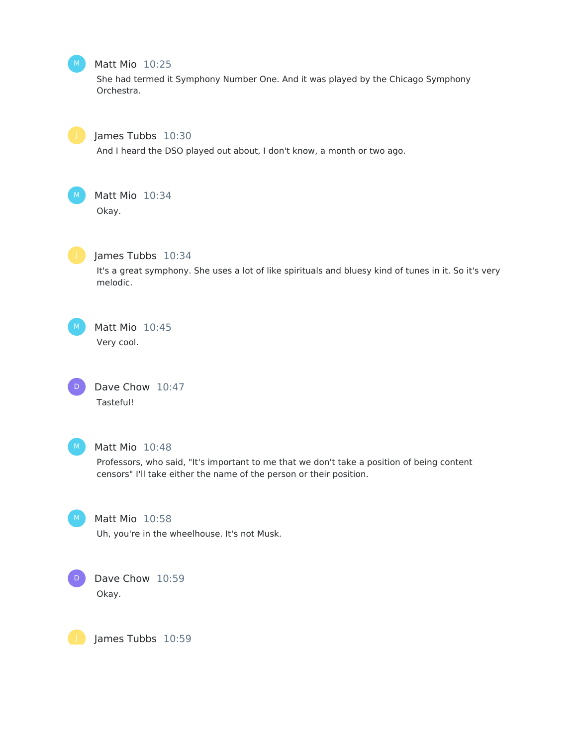# Matt Mio 10:25

She had termed it Symphony Number One. And it was played by the Chicago Symphony Orchestra.



#### James Tubbs 10:30

And I heard the DSO played out about, I don't know, a month or two ago.



# Matt Mio 10:34

Okay.



#### James Tubbs 10:34

It's a great symphony. She uses a lot of like spirituals and bluesy kind of tunes in it. So it's very melodic.

Matt Mio 10:45 Very cool.

Dave Chow 10:47 Tasteful! D



#### Matt Mio 10:48

Professors, who said, "It's important to me that we don't take a position of being content censors" I'll take either the name of the person or their position.



# Matt Mio 10:58

Uh, you're in the wheelhouse. It's not Musk.



# Dave Chow 10:59 Okay.

James Tubbs 10:59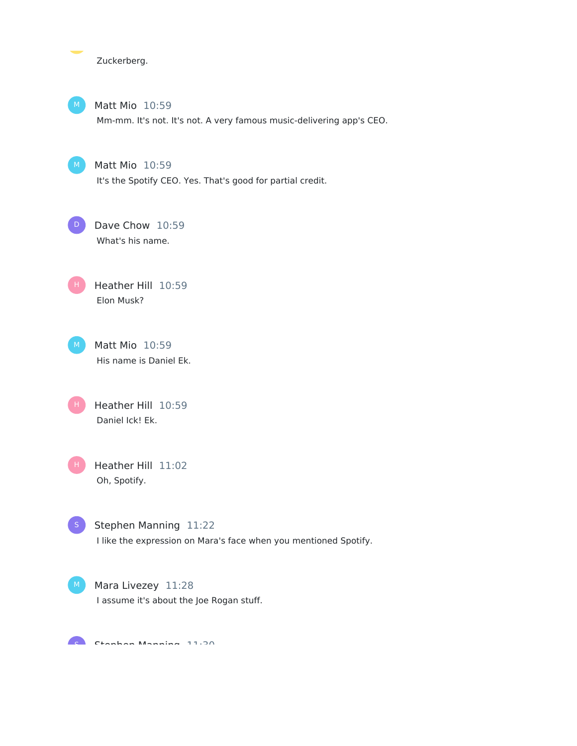Zuckerberg.



Matt Mio 10:59

Mm-mm. It's not. It's not. A very famous music-delivering app's CEO.

 $M$ )

Matt Mio 10:59 It's the Spotify CEO. Yes. That's good for partial credit.

Dave Chow 10:59 What's his name.  $D$ 

Heather Hill 10:59 Elon Musk? H



Heather Hill 10:59 Daniel Ick! Ek. H

Heather Hill 11:02 Oh, Spotify. H



Stephen Manning 11:22 I like the expression on Mara's face when you mentioned Spotify.

M Mara Livezey 11:28 I assume it's about the Joe Rogan stuff.

C<sub>a</sub> Charlean Maradian 11:30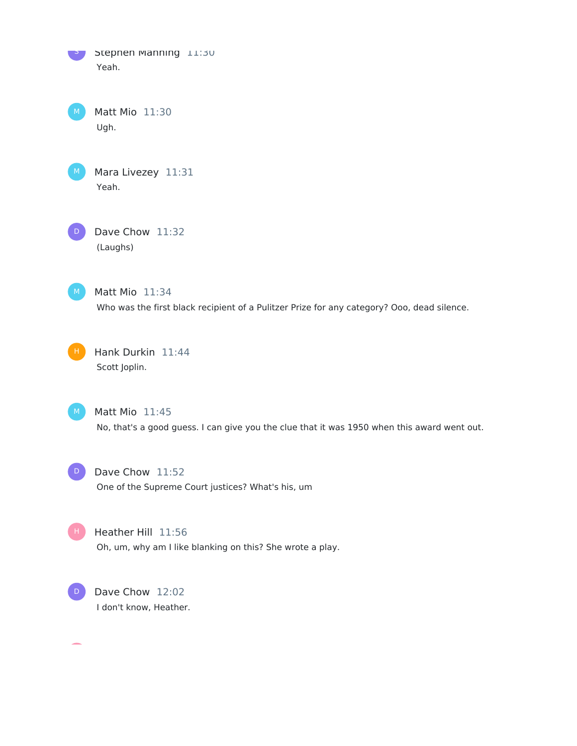

Matt Mio 11:30 Ugh.



Mara Livezey 11:31 Yeah.

Dave Chow 11:32 (Laughs)  $\sqrt{D}$ 

 $M$  Matt Mio 11:34 Who was the first black recipient of a Pulitzer Prize for any category? Ooo, dead silence.

H Hank Durkin 11:44 Scott Joplin.



 $M$  Matt Mio  $11:45$ 

No, that's a good guess. I can give you the clue that it was 1950 when this award went out.

D Dave Chow 11:52 One of the Supreme Court justices? What's his, um

Heather Hill 11:56 Oh, um, why am I like blanking on this? She wrote a play.



Dave Chow 12:02 I don't know, Heather.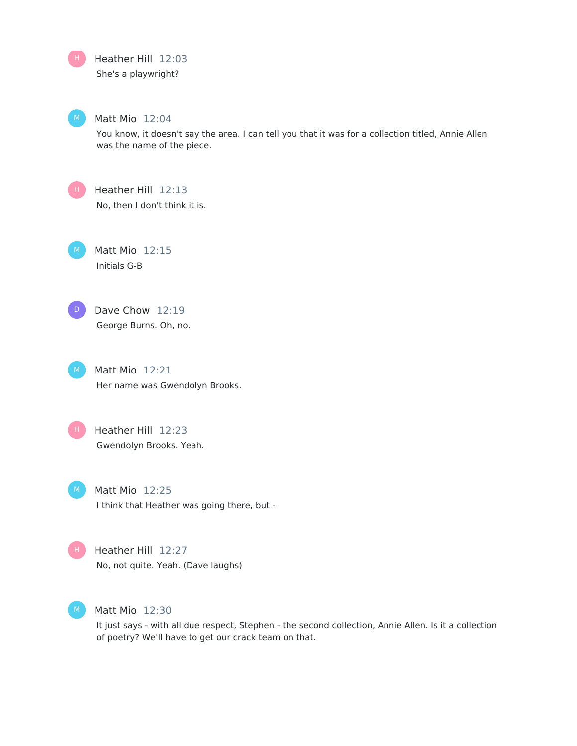Heather Hill 12:03 She's a playwright? H

# Matt Mio 12:04

You know, it doesn't say the area. I can tell you that it was for a collection titled, Annie Allen was the name of the piece.

H .

Heather Hill 12:13 No, then I don't think it is.

Matt Mio 12:15 Initials G-B

D

H

Dave Chow 12:19 George Burns. Oh, no.

Matt Mio 12:21 Her name was Gwendolyn Brooks.

Heather Hill 12:23 Gwendolyn Brooks. Yeah.

Matt Mio 12:25 I think that Heather was going there, but -

H .

Heather Hill 12:27 No, not quite. Yeah. (Dave laughs)

Matt Mio 12:30

It just says - with all due respect, Stephen - the second collection, Annie Allen. Is it a collection of poetry? We'll have to get our crack team on that.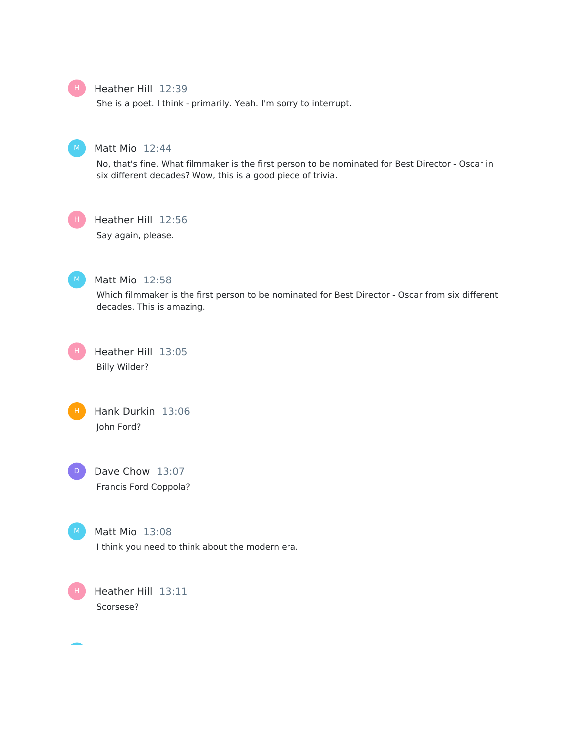# Heather Hill 12:39

She is a poet. I think - primarily. Yeah. I'm sorry to interrupt.



# Matt Mio 12:44

No, that's fine. What filmmaker is the first person to be nominated for Best Director - Oscar in six different decades? Wow, this is a good piece of trivia.



# Heather Hill 12:56

Say again, please.



#### Matt Mio 12:58

Which filmmaker is the first person to be nominated for Best Director - Oscar from six different decades. This is amazing.









Matt Mio 13:08 I think you need to think about the modern era.

H

Heather Hill 13:11 Scorsese?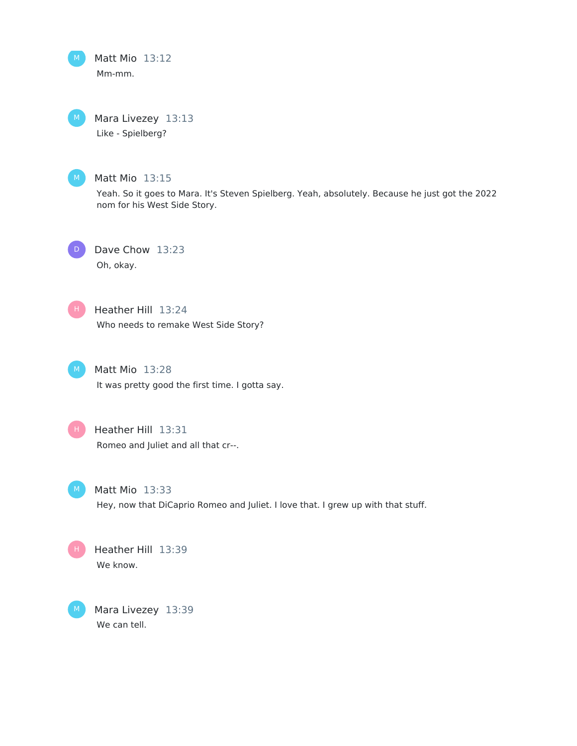Matt Mio 13:12 Mm-mm.

Mara Livezey 13:13 Like - Spielberg?



#### Matt Mio 13:15

Yeah. So it goes to Mara. It's Steven Spielberg. Yeah, absolutely. Because he just got the 2022 nom for his West Side Story.



Dave Chow 13:23 Oh, okay.



# Heather Hill 13:24

Who needs to remake West Side Story?



Matt Mio 13:28 It was pretty good the first time. I gotta say.



# Heather Hill 13:31 Romeo and Juliet and all that cr--.



Matt Mio 13:33 Hey, now that DiCaprio Romeo and Juliet. I love that. I grew up with that stuff.



Mara Livezey 13:39 We can tell.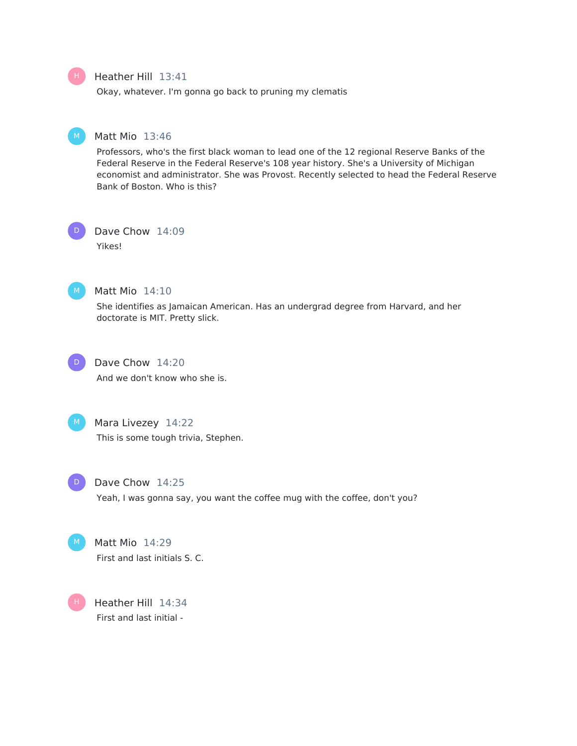#### Heather Hill 13:41

Okay, whatever. I'm gonna go back to pruning my clematis

#### Matt Mio 13:46

Professors, who's the first black woman to lead one of the 12 regional Reserve Banks of the Federal Reserve in the Federal Reserve's 108 year history. She's a University of Michigan economist and administrator. She was Provost. Recently selected to head the Federal Reserve Bank of Boston. Who is this?

Dave Chow 14:09 Yikes! D



# Matt Mio 14:10

She identifies as Jamaican American. Has an undergrad degree from Harvard, and her doctorate is MIT. Pretty slick.



# Dave Chow 14:20 And we don't know who she is.

# M Mara Livezey 14:22

This is some tough trivia, Stephen.



#### Dave Chow 14:25

Yeah, I was gonna say, you want the coffee mug with the coffee, don't you?



# Matt Mio 14:29 First and last initials S. C.

Heather Hill 14:34 First and last initial - H

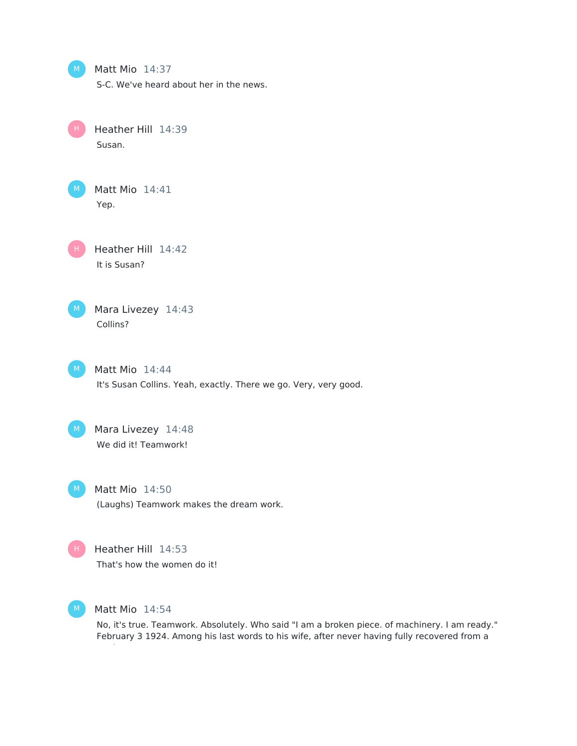| M  | Matt Mio 14:37<br>S-C. We've heard about her in the news.                          |
|----|------------------------------------------------------------------------------------|
|    | Heather Hill 14:39<br>Susan.                                                       |
| M. | Matt Mio 14:41<br>Yep.                                                             |
|    | Heather Hill 14:42<br>It is Susan?                                                 |
| M. | Mara Livezey 14:43<br>Collins?                                                     |
| M. | Matt Mio 14:44<br>It's Susan Collins. Yeah, exactly. There we go. Very, very good. |
| M. | Mara Livezey 14:48<br>We did it! Teamwork!                                         |
| M  | Matt Mio 14:50<br>(Laughs) Teamwork makes the dream work.                          |
| н  | Heather Hill 14:53                                                                 |

That's how the women do it!



Matt Mio 14:54

No, it's true. Teamwork. Absolutely. Who said "I am a broken piece. of machinery. I am ready." February 3 1924. Among his last words to his wife, after never having fully recovered from a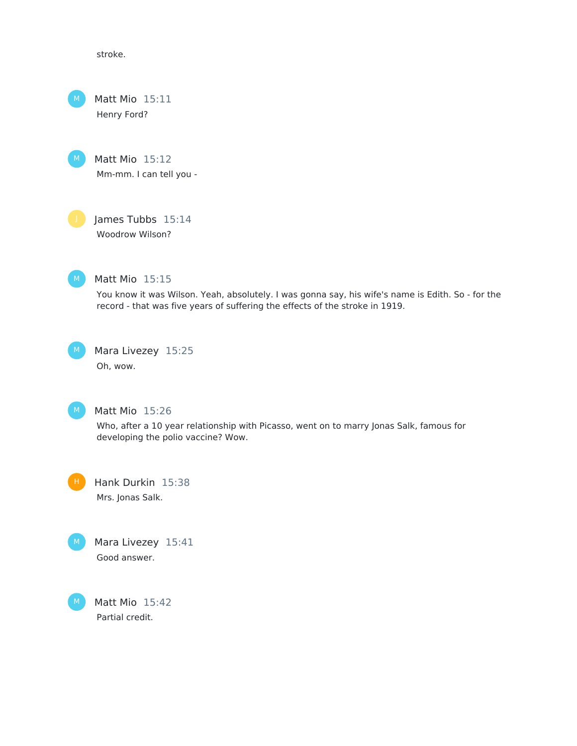stroke.

Matt Mio 15:11 Henry Ford?



James Tubbs 15:14 Woodrow Wilson?



# Matt Mio 15:15

You know it was Wilson. Yeah, absolutely. I was gonna say, his wife's name is Edith. So - for the record - that was five years of suffering the effects of the stroke in 1919.





#### Matt Mio 15:26

Who, after a 10 year relationship with Picasso, went on to marry Jonas Salk, famous for developing the polio vaccine? Wow.

Hank Durkin 15:38 Mrs. Jonas Salk.



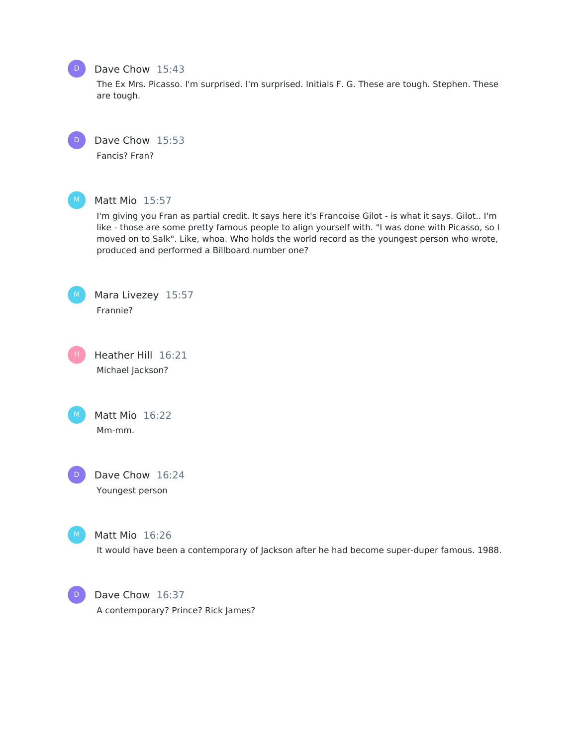# Dave Chow 15:43

The Ex Mrs. Picasso. I'm surprised. I'm surprised. Initials F. G. These are tough. Stephen. These are tough.



 $D$ 

Dave Chow 15:53

Fancis? Fran?



#### Matt Mio 15:57

I'm giving you Fran as partial credit. It says here it's Francoise Gilot - is what it says. Gilot.. I'm like - those are some pretty famous people to align yourself with. "I was done with Picasso, so I moved on to Salk". Like, whoa. Who holds the world record as the youngest person who wrote, produced and performed a Billboard number one?



Mara Livezey 15:57 Frannie?

Heather Hill 16:21 Michael Jackson? H





Dave Chow 16:24 Youngest person

Matt Mio 16:26

It would have been a contemporary of Jackson after he had become super-duper famous. 1988.



Dave Chow 16:37 A contemporary? Prince? Rick James?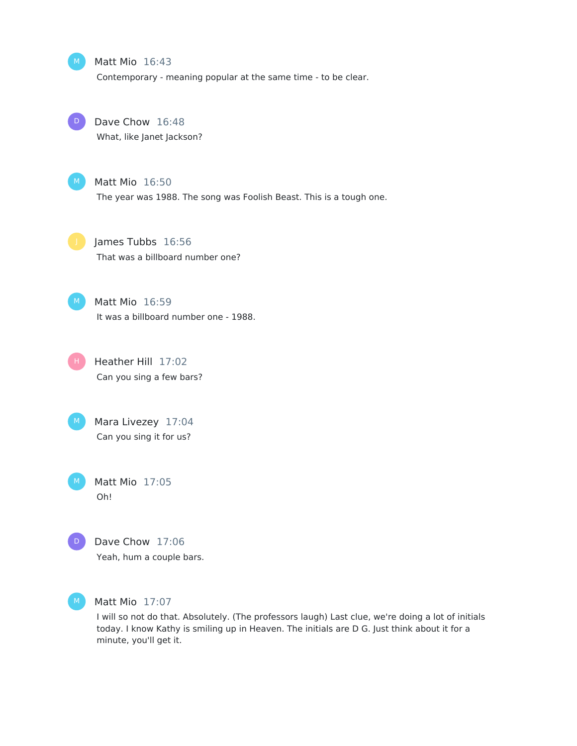#### Matt Mio 16:43

Contemporary - meaning popular at the same time - to be clear.



Dave Chow 16:48 What, like Janet Jackson?



Matt Mio 16:50 The year was 1988. The song was Foolish Beast. This is a tough one.



James Tubbs 16:56 That was a billboard number one?



Matt Mio 16:59 It was a billboard number one - 1988.

Heather Hill 17:02 Can you sing a few bars? H



Matt Mio 17:05 Oh!



Dave Chow 17:06 Yeah, hum a couple bars.



Matt Mio 17:07

I will so not do that. Absolutely. (The professors laugh) Last clue, we're doing a lot of initials today. I know Kathy is smiling up in Heaven. The initials are D G. Just think about it for a minute, you'll get it.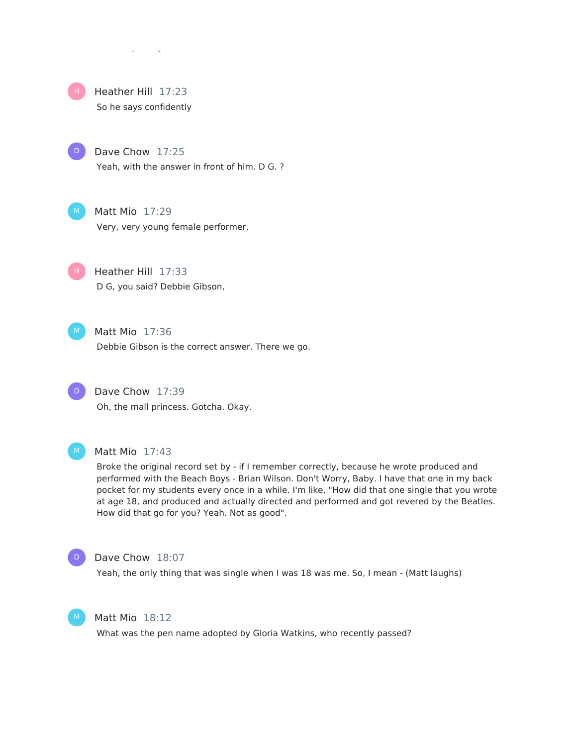

D

# Heather Hill 17:23 So he says confidently

Dave Chow 17:25 Yeah, with the answer in front of him. D G. ?

Matt Mio 17:29 Very, very young female performer,

Heather Hill 17:33 D G, you said? Debbie Gibson,



H

Matt Mio 17:36 Debbie Gibson is the correct answer. There we go.



Dave Chow 17:39 Oh, the mall princess. Gotcha. Okay.



#### Matt Mio 17:43

Broke the original record set by - if I remember correctly, because he wrote produced and performed with the Beach Boys - Brian Wilson. Don't Worry, Baby. I have that one in my back pocket for my students every once in a while. I'm like, "How did that one single that you wrote at age 18, and produced and actually directed and performed and got revered by the Beatles. How did that go for you? Yeah. Not as good".



#### Dave Chow 18:07

Yeah, the only thing that was single when I was 18 was me. So, I mean - (Matt laughs)



#### Matt Mio 18:12

What was the pen name adopted by Gloria Watkins, who recently passed?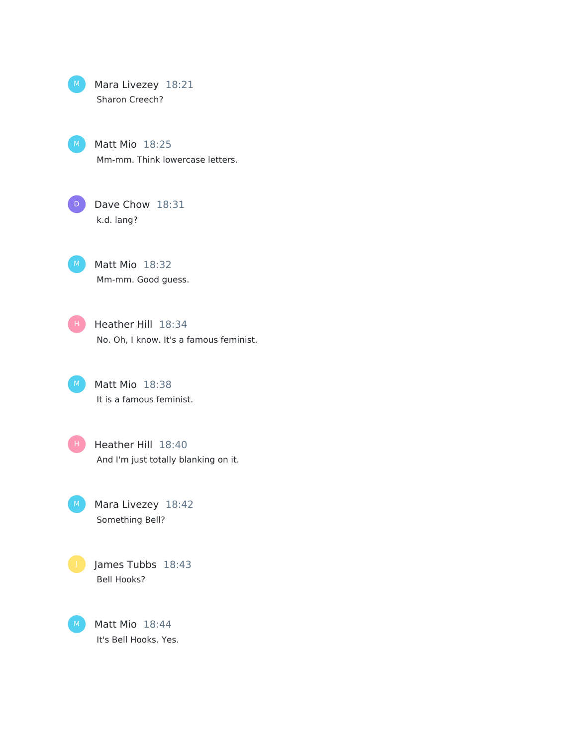Mara Livezey 18:21 Sharon Creech?  $M$ 

> Matt Mio 18:25 Mm-mm. Think lowercase letters.

D)

 $M$ 

Dave Chow 18:31 k.d. lang?

Matt Mio 18:32 Mm-mm. Good guess. M

Heather Hill 18:34 No. Oh, I know. It's a famous feminist. H

Matt Mio 18:38 It is a famous feminist.  $M$ 

Heather Hill 18:40 And I'm just totally blanking on it.  $H$ 

Mara Livezey 18:42 Something Bell?  $M$ 

James Tubbs 18:43 Bell Hooks?

Matt Mio 18:44 It's Bell Hooks. Yes.  $M$ )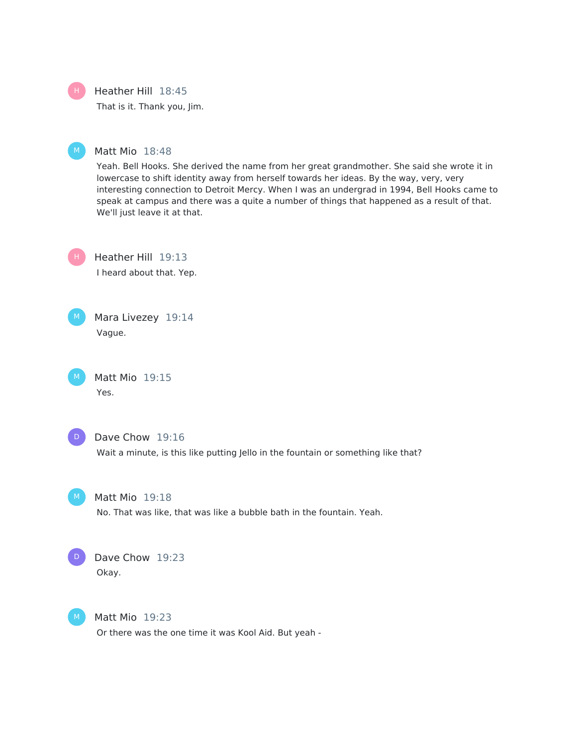Heather Hill 18:45 H.

That is it. Thank you, Jim.

#### Matt Mio 18:48

Yeah. Bell Hooks. She derived the name from her great grandmother. She said she wrote it in lowercase to shift identity away from herself towards her ideas. By the way, very, very interesting connection to Detroit Mercy. When I was an undergrad in 1994, Bell Hooks came to speak at campus and there was a quite a number of things that happened as a result of that. We'll just leave it at that.

H

Heather Hill 19:13 I heard about that. Yep.



Matt Mio 19:15 Yes.



#### Dave Chow 19:16

Wait a minute, is this like putting Jello in the fountain or something like that?



#### Matt Mio 19:18

No. That was like, that was like a bubble bath in the fountain. Yeah.



# Dave Chow 19:23

Okay.



#### Matt Mio 19:23

Or there was the one time it was Kool Aid. But yeah -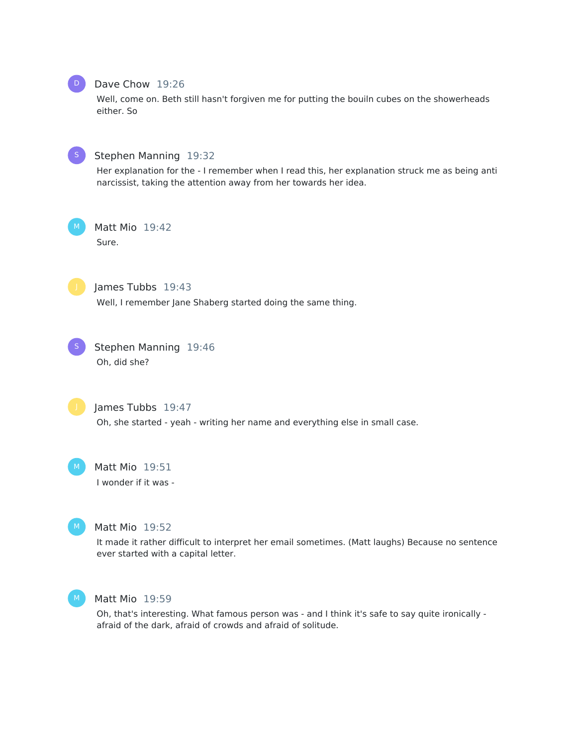

# Dave Chow 19:26

Well, come on. Beth still hasn't forgiven me for putting the bouiln cubes on the showerheads either. So



#### Stephen Manning 19:32

Her explanation for the - I remember when I read this, her explanation struck me as being anti narcissist, taking the attention away from her towards her idea.

Matt Mio 19:42

Sure.

James Tubbs 19:43

Well, I remember Jane Shaberg started doing the same thing.



Stephen Manning 19:46 Oh, did she?



James Tubbs 19:47 Oh, she started - yeah - writing her name and everything else in small case.

Matt Mio 19:51 I wonder if it was -



# Matt Mio 19:52

It made it rather difficult to interpret her email sometimes. (Matt laughs) Because no sentence ever started with a capital letter.



#### Matt Mio 19:59

Oh, that's interesting. What famous person was - and I think it's safe to say quite ironically afraid of the dark, afraid of crowds and afraid of solitude.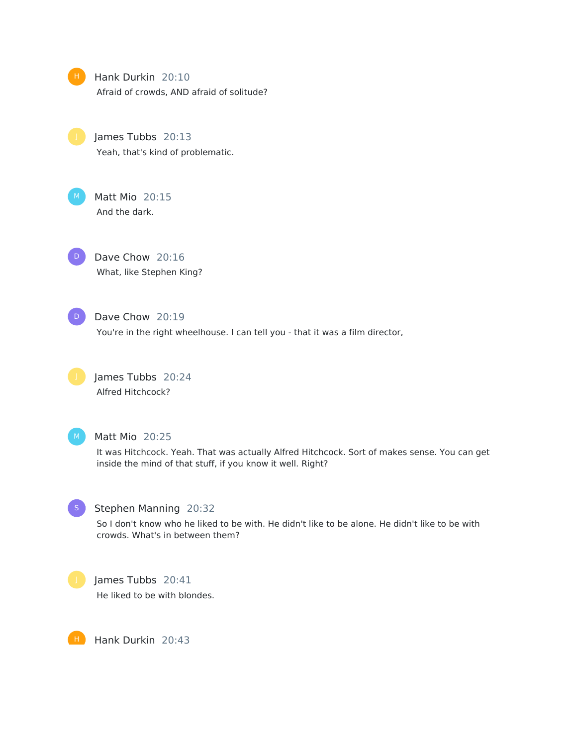Hank Durkin 20:10 Afraid of crowds, AND afraid of solitude?

James Tubbs 20:13 Yeah, that's kind of problematic.

Matt Mio 20:15 And the dark.

Dave Chow 20:16 What, like Stephen King? D

D

# Dave Chow 20:19

You're in the right wheelhouse. I can tell you - that it was a film director,

James Tubbs 20:24 Alfred Hitchcock?



#### Matt Mio 20:25

It was Hitchcock. Yeah. That was actually Alfred Hitchcock. Sort of makes sense. You can get inside the mind of that stuff, if you know it well. Right?



#### Stephen Manning 20:32

So I don't know who he liked to be with. He didn't like to be alone. He didn't like to be with crowds. What's in between them?



# James Tubbs 20:41

He liked to be with blondes.

Hank Durkin 20:43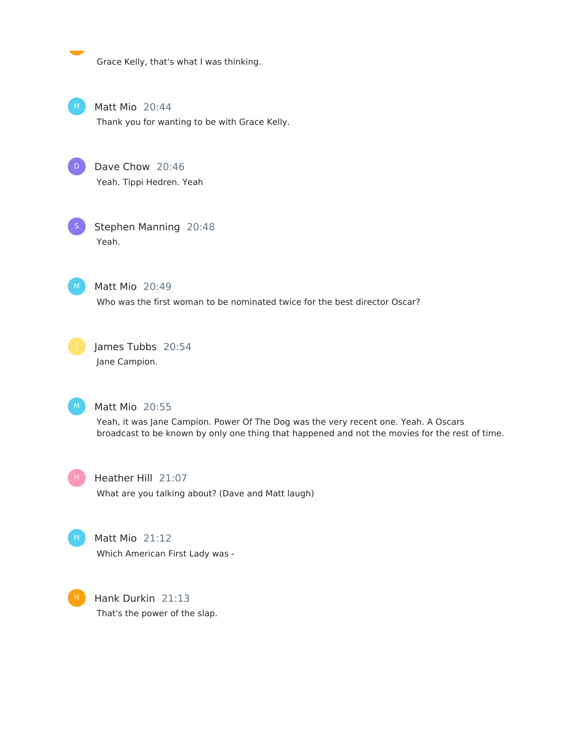Grace Kelly, that's what I was thinking.

Matt Mio 20:44 Thank you for wanting to be with Grace Kelly.

Dave Chow 20:46 Yeah. Tippi Hedren. Yeah D

Stephen Manning 20:48 Yeah.



Matt Mio 20:49

Who was the first woman to be nominated twice for the best director Oscar?



James Tubbs 20:54 Jane Campion.



#### Matt Mio 20:55

Yeah, it was Jane Campion. Power Of The Dog was the very recent one. Yeah. A Oscars broadcast to be known by only one thing that happened and not the movies for the rest of time.



Heather Hill 21:07

What are you talking about? (Dave and Matt laugh)



# Matt Mio 21:12

Which American First Lady was -



Hank Durkin 21:13 That's the power of the slap.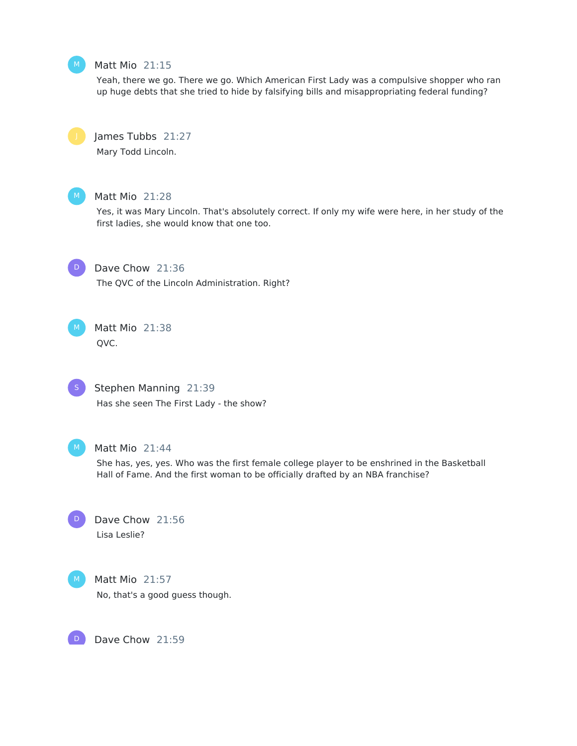#### Matt Mio 21:15

Yeah, there we go. There we go. Which American First Lady was a compulsive shopper who ran up huge debts that she tried to hide by falsifying bills and misappropriating federal funding?

# James Tubbs 21:27

Mary Todd Lincoln.



#### Matt Mio 21:28

Yes, it was Mary Lincoln. That's absolutely correct. If only my wife were here, in her study of the first ladies, she would know that one too.

 $D$ 

Dave Chow 21:36 The QVC of the Lincoln Administration. Right?

Matt Mio 21:38 QVC.



#### Stephen Manning 21:39

Has she seen The First Lady - the show?



#### Matt Mio 21:44

She has, yes, yes. Who was the first female college player to be enshrined in the Basketball Hall of Fame. And the first woman to be officially drafted by an NBA franchise?

Dave Chow 21:56 Lisa Leslie? D



Matt Mio 21:57 No, that's a good guess though.

Dave Chow 21:59 D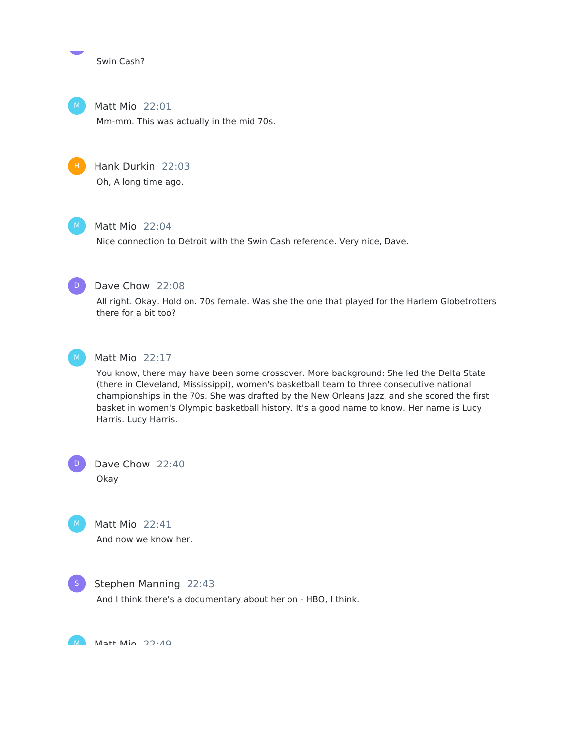Swin Cash?

Matt Mio 22:01 Mm-mm. This was actually in the mid 70s.



# Matt Mio 22:04

Nice connection to Detroit with the Swin Cash reference. Very nice, Dave.



Dave Chow 22:08

All right. Okay. Hold on. 70s female. Was she the one that played for the Harlem Globetrotters there for a bit too?



#### Matt Mio 22:17

You know, there may have been some crossover. More background: She led the Delta State (there in Cleveland, Mississippi), women's basketball team to three consecutive national championships in the 70s. She was drafted by the New Orleans Jazz, and she scored the first basket in women's Olympic basketball history. It's a good name to know. Her name is Lucy Harris. Lucy Harris.

Dave Chow 22:40 Okay



D

Matt Mio 22:41 And now we know her.



#### Stephen Manning 22:43

And I think there's a documentary about her on - HBO, I think.

 $M$  M<sub>1</sub>++ M<sub>io</sub> 22.40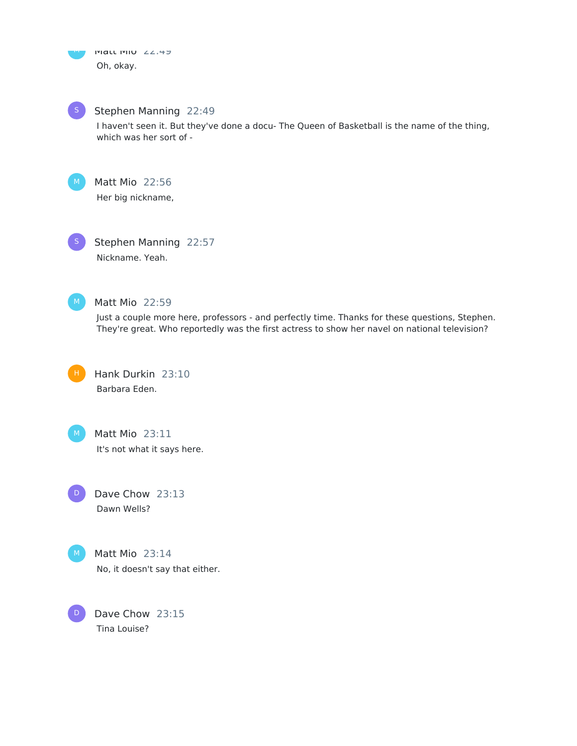Stephen Manning 22:49

I haven't seen it. But they've done a docu- The Queen of Basketball is the name of the thing, which was her sort of -

Matt Mio 22:56 Her big nickname,

S

Stephen Manning 22:57 Nickname. Yeah.



# Matt Mio 22:59

Just a couple more here, professors - and perfectly time. Thanks for these questions, Stephen. They're great. Who reportedly was the first actress to show her navel on national television?



Hank Durkin 23:10 Barbara Eden.



D

Matt Mio 23:11 It's not what it says here.

Dave Chow 23:13 Dawn Wells?



Matt Mio 23:14 No, it doesn't say that either.

Dave Chow 23:15 Tina Louise? D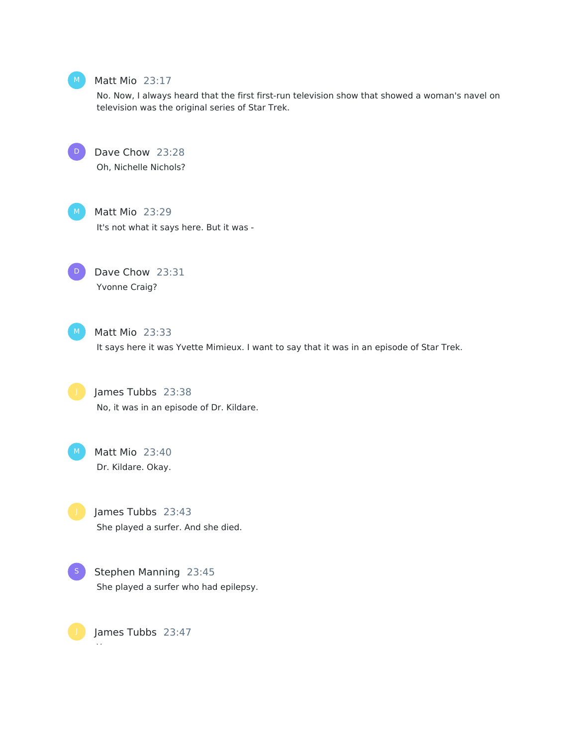

#### Matt Mio 23:17

No. Now, I always heard that the first first-run television show that showed a woman's navel on television was the original series of Star Trek.

 $\mathbf{D}$ 

Dave Chow 23:28

Oh, Nichelle Nichols?



Matt Mio 23:29 It's not what it says here. But it was -



Dave Chow 23:31 Yvonne Craig?



Matt Mio 23:33 It says here it was Yvette Mimieux. I want to say that it was in an episode of Star Trek.

James Tubbs 23:38 No, it was in an episode of Dr. Kildare.



Matt Mio 23:40 Dr. Kildare. Okay.

James Tubbs 23:43 She played a surfer. And she died.



James Tubbs 23:47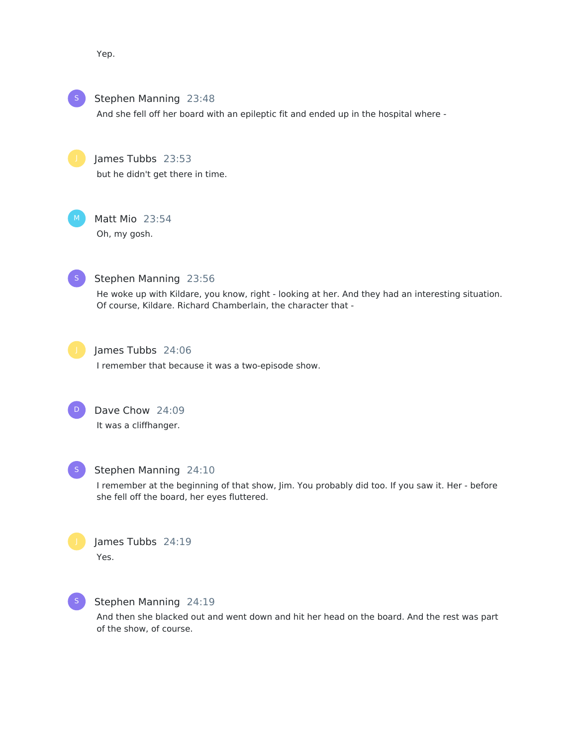Yep.

Stephen Manning 23:48

And she fell off her board with an epileptic fit and ended up in the hospital where -

James Tubbs 23:53 but he didn't get there in time.

Matt Mio 23:54 Oh, my gosh.



# Stephen Manning 23:56

He woke up with Kildare, you know, right - looking at her. And they had an interesting situation. Of course, Kildare. Richard Chamberlain, the character that -



# James Tubbs 24:06

I remember that because it was a two-episode show.





# Stephen Manning 24:10

I remember at the beginning of that show, Jim. You probably did too. If you saw it. Her - before she fell off the board, her eyes fluttered.





# Stephen Manning 24:19

And then she blacked out and went down and hit her head on the board. And the rest was part of the show, of course.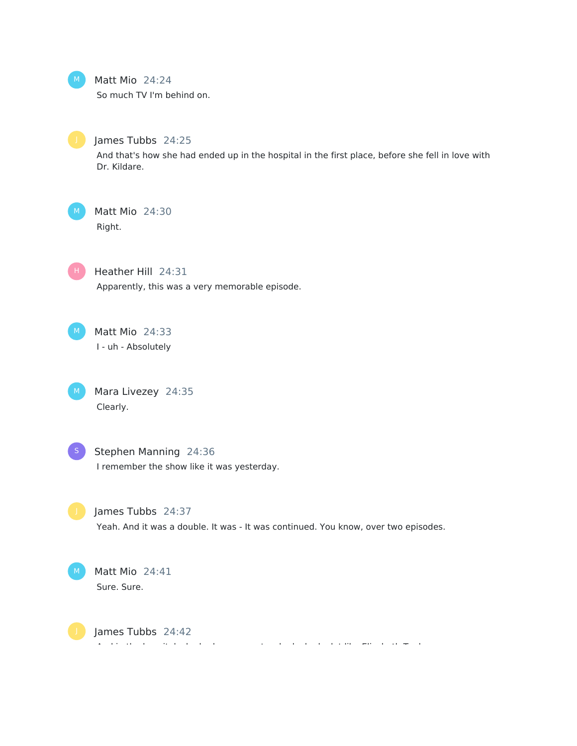

### Matt Mio 24:24

So much TV I'm behind on.



# James Tubbs 24:25

And that's how she had ended up in the hospital in the first place, before she fell in love with Dr. Kildare.

# Matt Mio 24:30 Right.



Heather Hill 24:31 Apparently, this was a very memorable episode.

Matt Mio 24:33 I - uh - Absolutely

Mara Livezey 24:35 Clearly.  $M$ 



Stephen Manning 24:36 I remember the show like it was yesterday.



#### James Tubbs 24:37

Yeah. And it was a double. It was - It was continued. You know, over two episodes.



James Tubbs 24:42 And in the hospital, she had a room material, she had a lot like Elizabeth Taylor.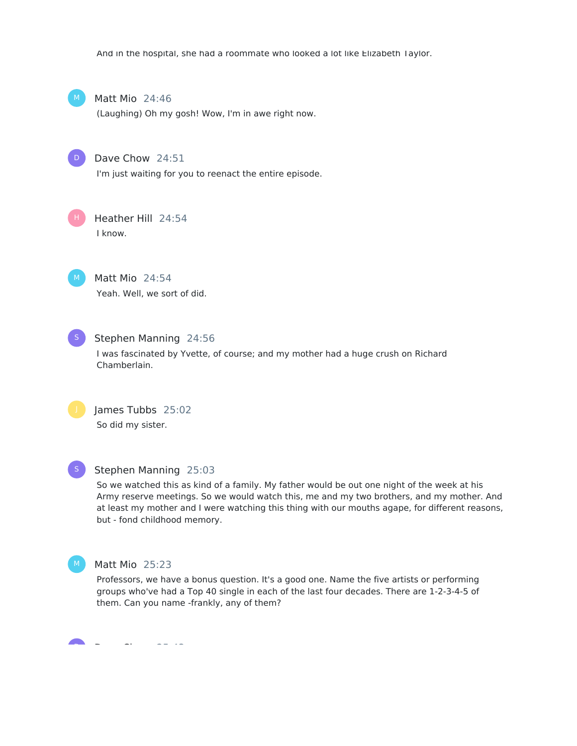And in the hospital, she had a roommate who looked a lot like Elizabeth Taylor.



Matt Mio 24:46

(Laughing) Oh my gosh! Wow, I'm in awe right now.



Dave Chow 24:51

I'm just waiting for you to reenact the entire episode.



Heather Hill 24:54 I know.



Matt Mio 24:54 Yeah. Well, we sort of did.



#### Stephen Manning 24:56

I was fascinated by Yvette, of course; and my mother had a huge crush on Richard Chamberlain.



James Tubbs 25:02 So did my sister.



#### Stephen Manning 25:03

So we watched this as kind of a family. My father would be out one night of the week at his Army reserve meetings. So we would watch this, me and my two brothers, and my mother. And at least my mother and I were watching this thing with our mouths agape, for different reasons, but - fond childhood memory.



#### Matt Mio 25:23

Professors, we have a bonus question. It's a good one. Name the five artists or performing groups who've had a Top 40 single in each of the last four decades. There are 1-2-3-4-5 of them. Can you name -frankly, any of them?

 $\mathbf{r}$ Dave Chow 25:43 D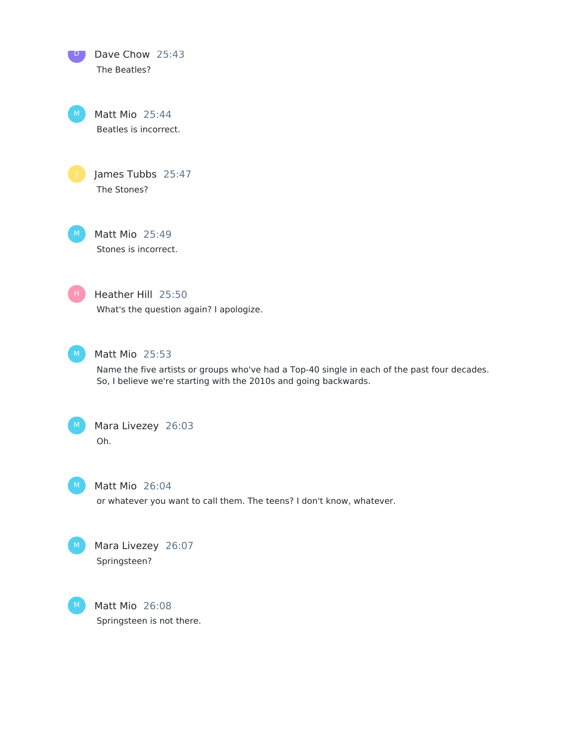Dave Chow 25:43 The Beatles?  $\Box$ 

Matt Mio 25:44 Beatles is incorrect.

James Tubbs 25:47 The Stones?

Matt Mio 25:49 Stones is incorrect.

Heather Hill 25:50 What's the question again? I apologize.



H

# Matt Mio 25:53

Name the five artists or groups who've had a Top-40 single in each of the past four decades. So, I believe we're starting with the 2010s and going backwards.



# Mara Livezey 26:03 Oh.

 $M$ )

# Matt Mio 26:04

or whatever you want to call them. The teens? I don't know, whatever.



Mara Livezey 26:07 Springsteen?

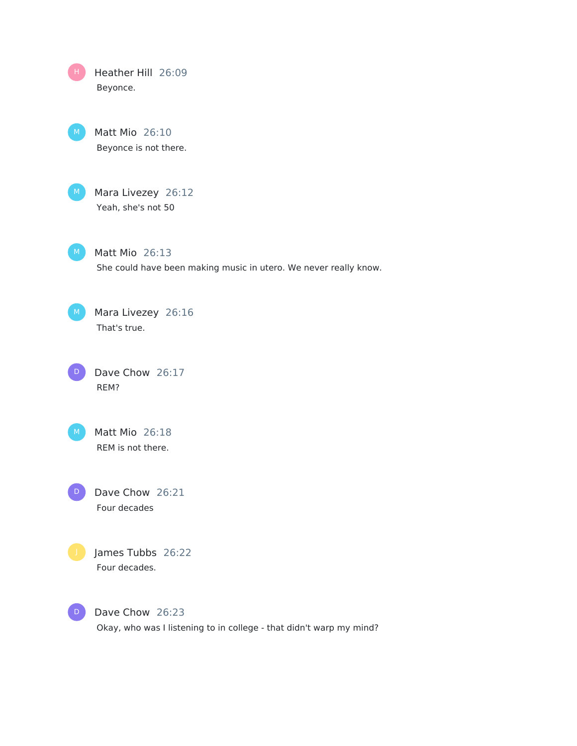Heather Hill 26:09 Beyonce. H

> Matt Mio 26:10 Beyonce is not there.

M Mara Livezey 26:12 Yeah, she's not 50

 $M$  Matt Mio 26:13 She could have been making music in utero. We never really know.

M Mara Livezey 26:16 That's true.

D Dave Chow 26:17 REM?

Matt Mio 26:18 REM is not there.  $M$ 

Dave Chow 26:21 Four decades D)



James Tubbs 26:22 Four decades.



Dave Chow 26:23 Okay, who was I listening to in college - that didn't warp my mind?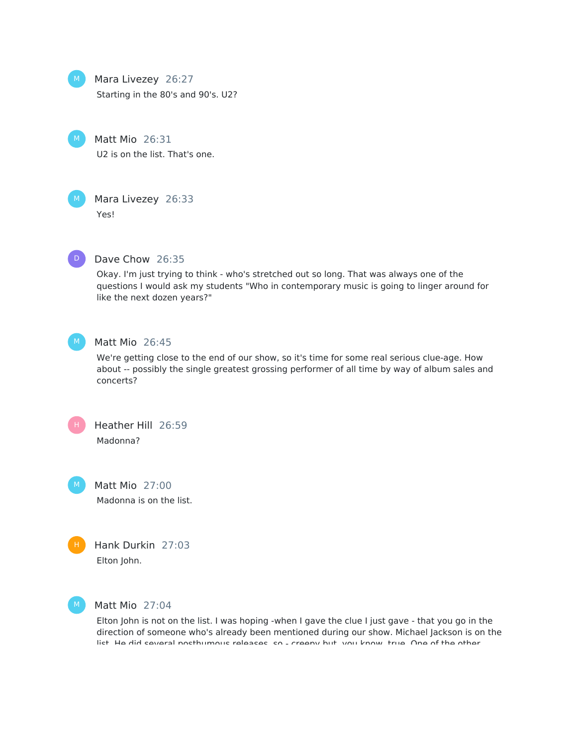Mara Livezey 26:27

Starting in the 80's and 90's. U2?

Matt Mio 26:31 U2 is on the list. That's one.



# Mara Livezey 26:33

Yes!



#### Dave Chow 26:35

Okay. I'm just trying to think - who's stretched out so long. That was always one of the questions I would ask my students "Who in contemporary music is going to linger around for like the next dozen years?"



#### Matt Mio 26:45

We're getting close to the end of our show, so it's time for some real serious clue-age. How about -- possibly the single greatest grossing performer of all time by way of album sales and concerts?



Matt Mio 27:00 Madonna is on the list.



Hank Durkin 27:03 Elton John.



#### Matt Mio 27:04

Elton John is not on the list. I was hoping -when I gave the clue I just gave - that you go in the direction of someone who's already been mentioned during our show. Michael Jackson is on the list. He did several posthumous releases, so - creepy but, you know, true. One of the other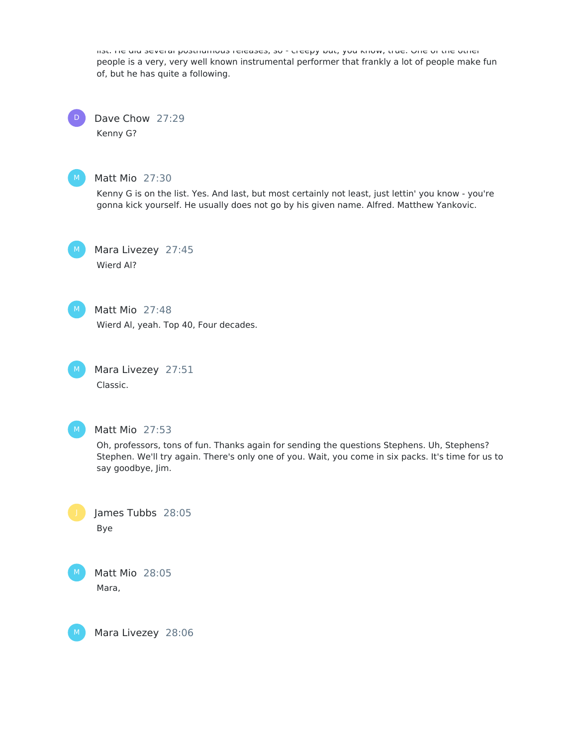list. He did several posthumous releases, so - creepy but, you know, true. One of the other people is a very, very well known instrumental performer that frankly a lot of people make fun of, but he has quite a following.

Dave Chow 27:29 Kenny G? D



#### Matt Mio 27:30

Kenny G is on the list. Yes. And last, but most certainly not least, just lettin' you know - you're gonna kick yourself. He usually does not go by his given name. Alfred. Matthew Yankovic.



Mara Livezey 27:45 Wierd Al?



# Matt Mio 27:48

Wierd Al, yeah. Top 40, Four decades.

Mara Livezey 27:51 Classic.  $M_{\odot}$ 



#### Matt Mio 27:53

Oh, professors, tons of fun. Thanks again for sending the questions Stephens. Uh, Stephens? Stephen. We'll try again. There's only one of you. Wait, you come in six packs. It's time for us to say goodbye, Jim.



Matt Mio 28:05 Mara,

Mara Livezey 28:06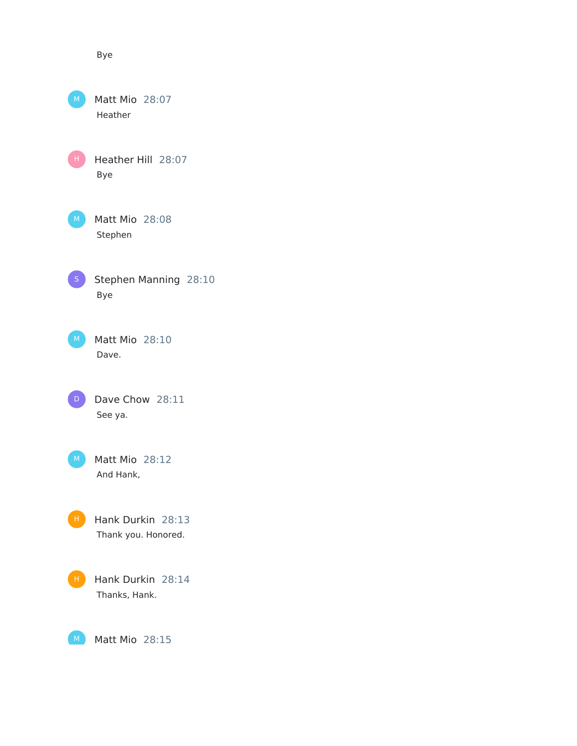Bye

Matt Mio 28:07 Heather Heather Hill 28:07 Bye Matt Mio 28:08 Stephen Stephen Manning 28:10 Bye Matt Mio 28:10 Dave. Dave Chow 28:11 See ya. Matt Mio 28:12 And Hank, Hank Durkin 28:13 Thank you. Honored. Hank Durkin 28:14 Thanks, Hank. H . D

Matt Mio 28:15